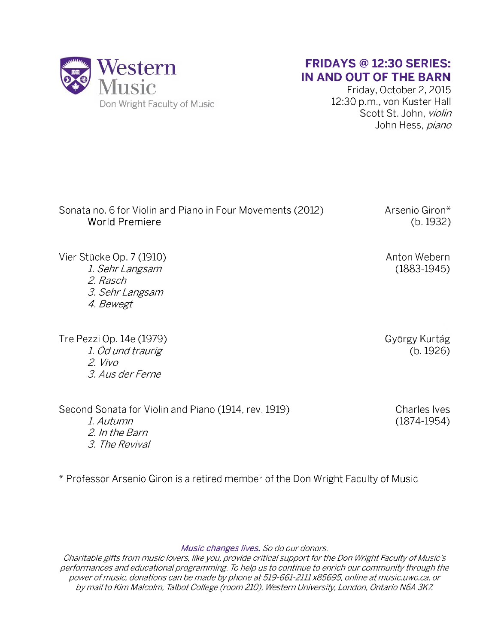

## FRIDAYS @ 12:30 SERIES: IN AND OUT OF THE BARN

Friday, October 2, 2015 12:30 p.m., von Kuster Hall Scott St. John, *violin* John Hess, *piano*

Sonata no. 6 for Violin and Piano in Four Movements (2012) World Premiere Arsenio Giron\* (b. 1932)

Vier Stücke Op. 7 (1910) *1 Sehr Langsam 2. Rasch 3. Sehr Langsam 4. Bewegt*

Tre Pezzi Op. 14e (1979) *1 Öd und traurig 2. Vivo 3. Aus der Ferne*

Second Sonata for Violin and Piano (1914, rev. 1919) Charles Ives *1. Autumn* (1874-1954) *2. In the Barn 3. The Revival*

György Kurtág (b. 1926)

Anton Webern (1883-1945)

\* Professor Arsenio Giron is a retired member of the Don Wright Faculty of Music

*Music changes lives. So do our donors.*

*Charitable gifts from music lovers, like you, provide critical support for the Don Wright Faculty of Music's performances and educational programming. To help us to continue to enrich our community through the* power of music, donations can be made by phone at 519-661-2111 x85695, online at music.uwo.ca, or *by m ail to Kim Malcolm, Talbot College (room 210), Western University, London, Ontario N6A 3K7.*